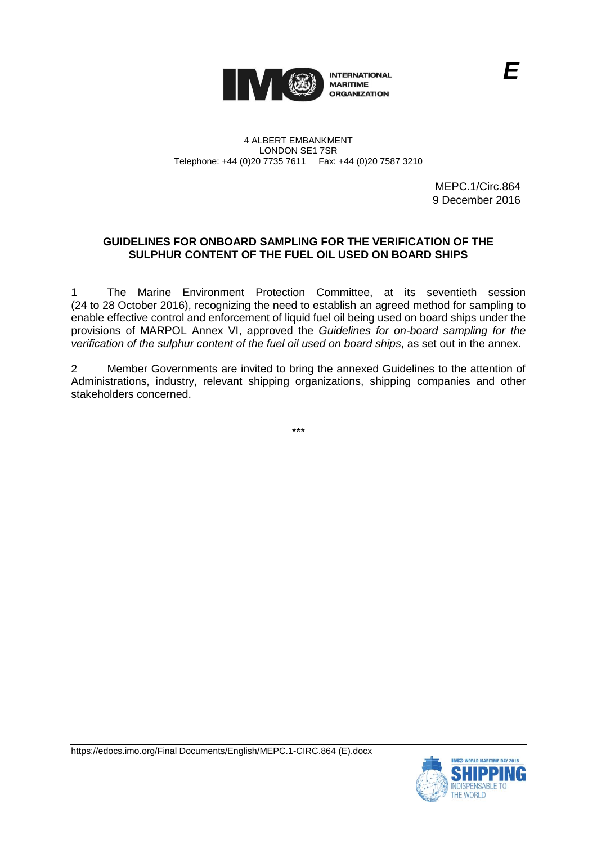

4 ALBERT EMBANKMENT LONDON SE1 7SR Telephone: +44 (0)20 7735 7611 Fax: +44 (0)20 7587 3210

> MEPC.1/Circ.864 9 December 2016

# **GUIDELINES FOR ONBOARD SAMPLING FOR THE VERIFICATION OF THE SULPHUR CONTENT OF THE FUEL OIL USED ON BOARD SHIPS**

1 The Marine Environment Protection Committee, at its seventieth session (24 to 28 October 2016), recognizing the need to establish an agreed method for sampling to enable effective control and enforcement of liquid fuel oil being used on board ships under the provisions of MARPOL Annex VI, approved the *Guidelines for on-board sampling for the verification of the sulphur content of the fuel oil used on board ships*, as set out in the annex.

2 Member Governments are invited to bring the annexed Guidelines to the attention of Administrations, industry, relevant shipping organizations, shipping companies and other stakeholders concerned.

\*\*\*



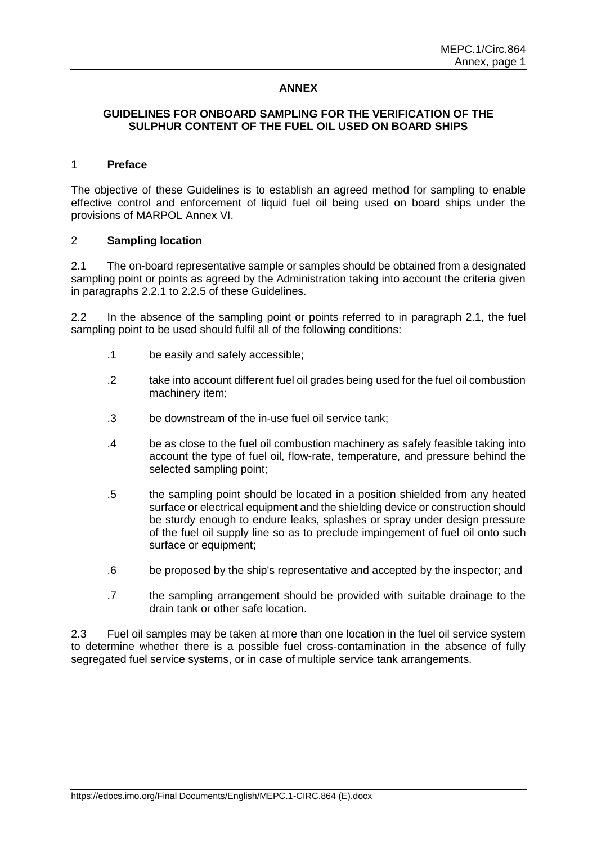### **ANNEX**

### **GUIDELINES FOR ONBOARD SAMPLING FOR THE VERIFICATION OF THE SULPHUR CONTENT OF THE FUEL OIL USED ON BOARD SHIPS**

#### 1 **Preface**

The objective of these Guidelines is to establish an agreed method for sampling to enable effective control and enforcement of liquid fuel oil being used on board ships under the provisions of MARPOL Annex VI.

### 2 **Sampling location**

2.1 The on-board representative sample or samples should be obtained from a designated sampling point or points as agreed by the Administration taking into account the criteria given in paragraphs 2.2.1 to 2.2.5 of these Guidelines.

2.2 In the absence of the sampling point or points referred to in paragraph 2.1, the fuel sampling point to be used should fulfil all of the following conditions:

- .1 be easily and safely accessible;
- .2 take into account different fuel oil grades being used for the fuel oil combustion machinery item;
- .3 be downstream of the in-use fuel oil service tank;
- .4 be as close to the fuel oil combustion machinery as safely feasible taking into account the type of fuel oil, flow-rate, temperature, and pressure behind the selected sampling point:
- .5 the sampling point should be located in a position shielded from any heated surface or electrical equipment and the shielding device or construction should be sturdy enough to endure leaks, splashes or spray under design pressure of the fuel oil supply line so as to preclude impingement of fuel oil onto such surface or equipment:
- .6 be proposed by the ship's representative and accepted by the inspector; and
- .7 the sampling arrangement should be provided with suitable drainage to the drain tank or other safe location.

2.3 Fuel oil samples may be taken at more than one location in the fuel oil service system to determine whether there is a possible fuel cross-contamination in the absence of fully segregated fuel service systems, or in case of multiple service tank arrangements.